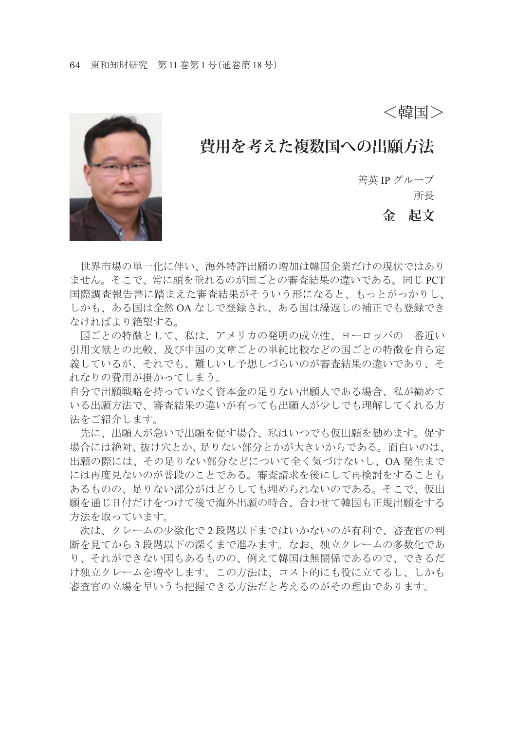<韓国>

## **費用を考えた複数国への出願方法**

善英 IP グループ

所長

**金 起文**

 世界市場の単一化に伴い、海外特許出願の増加は韓国企業だけの現状ではあり ません。そこで、常に頭を垂れるのが国ごとの審査結果の違いである。同じ PCT 国際調査報告書に踏まえた審査結果がそういう形になると、もっとがっかりし、 しかも、ある国は全然 OA なしで登録され、ある国は繰返しの補正でも登録でき なければより絶望する。

 国ごとの特徴として、私は、アメリカの発明の成立性、ヨーロッパの一番近い 引用文献との比較、及び中国の文章ごとの単純比較などの国ごとの特徴を自ら定 義しているが、それでも、難しいし予想しづらいのが審査結果の違いであり、そ れなりの費用が掛かってしまう。

自分で出願戦略を持っていなく資本金の足りない出願人である場合、私が勧めて いる出願方法で、審査結果の違いが有っても出願人が少しでも理解してくれる方 法をご紹介します。

 先に、出願人が急いで出願を促す場合、私はいつでも仮出願を勧めます。促す 場合には絶対、抜け穴とか、足りない部分とかが大きいからである。面白いのは、 出願の際には、その足りない部分などについて全く気づけないし、OA 発生まで には再度見ないのが普段のことである。審査請求を後にして再検討をすることも あるものの、足りない部分がはどうしても埋められないのである。そこで、仮出 願を通じ日付だけをつけて後で海外出願の時合、合わせて韓国も正規出願をする 方法を取っています。

 次は、クレームの少数化で 2 段階以下まではいかないのが有利で、審査官の判 断を見てから 3 段階以下の深くまで進みます。なお、独立クレームの多数化であ り、それができない国もあるものの、例えて韓国は無関係であるので、できるだ け独立クレームを増やします。この方法は、コスト的にも役に立てるし、しかも 審査官の立場を早いうち把握できる方法だと考えるのがその理由であります。